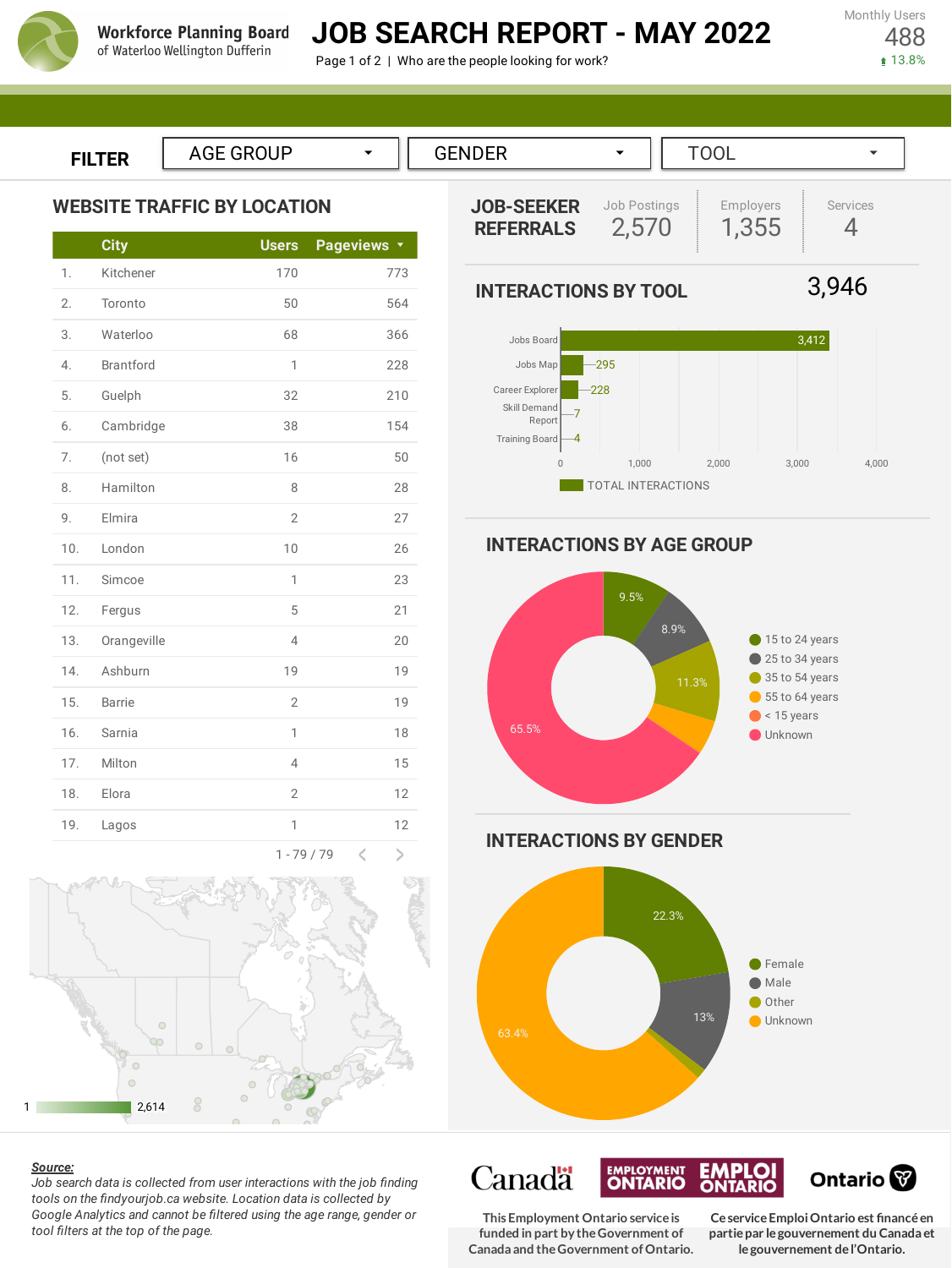

# **JOB SEARCH REPORT - MAY 2022**

Page 1 of 2 | Who are the people looking for work?

**FILTER**

**WEBSITE TRAFFIC BY LOCATION**

|     | <b>City</b>      | <b>Users</b>   | <b>Pageviews</b><br>$\langle \rangle$ |
|-----|------------------|----------------|---------------------------------------|
| 1.  | Kitchener        | 170            | 773                                   |
| 2.  | Toronto          | 50             | 564                                   |
| 3.  | Waterloo         | 68             | 366                                   |
| 4.  | <b>Brantford</b> | 1              | 228                                   |
| 5.  | Guelph           | 32             | 210                                   |
| 6.  | Cambridge        | 38             | 154                                   |
| 7.  | (not set)        | 16             | 50                                    |
| 8.  | Hamilton         | 8              | 28                                    |
| 9.  | Elmira           | $\overline{2}$ | 27                                    |
| 10. | London           | 10             | 26                                    |
| 11. | Simcoe           | 1              | 23                                    |
| 12. | Fergus           | 5              | 21                                    |
| 13. | Orangeville      | $\overline{4}$ | 20                                    |
| 14. | Ashburn          | 19             | 19                                    |
| 15. | <b>Barrie</b>    | $\overline{2}$ | 19                                    |
| 16. | Sarnia           | 1              | 18                                    |
| 17. | Milton           | $\overline{4}$ | 15                                    |
| 18. | Elora            | $\overline{2}$ | 12                                    |
| 19. | Lagos            | 1              | 12                                    |
|     |                  |                | a.                                    |



#### *Source:*

*Job search data is collected from user interactions with the job finding tools on the findyourjob.ca website. Location data is collected by Google Analytics and cannot be filtered using the age range, gender or tool filters at the top of the page.*





**INTERACTIONS BY AGE GROUP**



**INTERACTIONS BY GENDER**



**Canadä** <u>EMPLOYMENT</u> Ontario<sup>®</sup> **TARIO** TARIO **This Employment Ontario serviceis CeserviceEmploiOntario est financéen**

**funded in part by theGovernment of Canada and theGovernment ofOntario.** **partiepar legouvernement du Canada et legouvernement del'Ontario.**